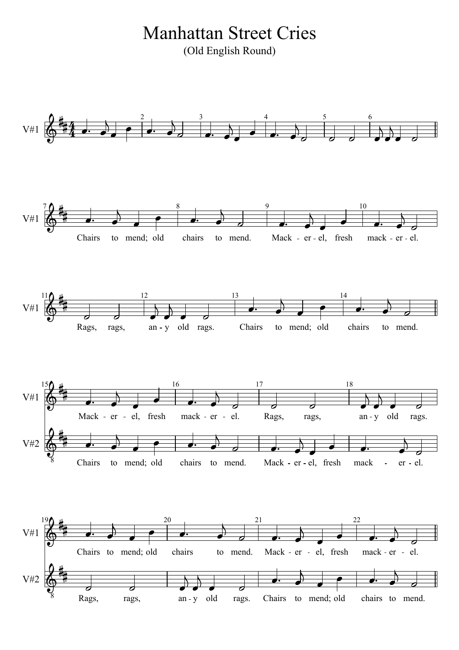(Old English Round) Manhattan Street Cries

rags. Chairs to mend; old chairs to mend. Chairs to mend; old chairs to mend. Mack - er - el, fresh mack - er - el. Rags, rags, an - y old rags. mack - er - el. to mend. an - y old chairs to mend; old Mack - er - el, fresh rags, Mack - er - el, fresh mack - er - el. Rags, Chairs Mack - er - el, fresh mack - er - el. chairs to mend. an - y old rags. to mend; old rags, Rags, Chairs Chairs to mend; old chairs to mend.  $\begin{array}{ccccccc}\n\cdot & \bullet & \bullet & \bullet & \bullet & \bullet & \bullet & \bullet \\
\text{if } & \text{if } & \text{if } & \text{if } & \text{if } & \text{if } & \text{if } & \text{if } & \text{if } & \text{if } & \text{if } & \text{if } & \text{if } & \text{if } & \text{if } & \text{if } & \text{if } & \text{if } & \text{if } & \text{if } & \text{if } & \text{if } & \text{if } & \text{if } & \text{if } & \text{if } & \text{if } & \text{if } & \text{if } & \text{if } & \text{if } & \$  $\frac{22}{\sqrt{1-\frac{1}{2}}}\$  $\begin{array}{c|c}\n & 20 \\
\hline\n\end{array}$  $\overline{a}$   $\overline{a}$  $\frac{1}{\sqrt{2}}$  $\overline{a}$  $\frac{10}{\sqrt{1-\frac{1}{2}}}$  $\overline{a}$ 」<br>、<br>下  $\overline{1}$ |}<br>|<br>|  $\begin{array}{|c|c|c|c|c|}\n\hline\n2 & 3 & 4 \\
\hline\n\end{array}$ 4<br>4 **4**  $\frac{1}{1}$ 一<br>构  $\frac{1}{1}$ 」<br>#]  $\frac{1}{2}$ 」<br>#]  $\frac{1}{1}$ ≡<br>#भ  $\frac{1}{2}$ 」<br>#]  $\frac{1}{2}$ 」<br>#]  $\frac{1}{2}$ 」<br>#] 8  $\frac{1}{9}$  8  $\frac{9}{9}$  $\frac{2}{9}$  $\frac{2}{9}$   $\frac{1}{\sigma}$  $\begin{array}{c}\n\searrow \\
\bullet \\
\bullet \\
\bullet \\
\end{array}$  $\begin{array}{|c|c|c|}\n \hline\n \text{1} & \text{6} \\
 \hline\n \text{22} & \text{7} \\
 \hline\n \text{3} & \text{6} \\
 \text{1} & \text{6} \\
 \text{2} & \text{6} \\
 \hline\n \end{array}$   $\overline{a}$  $\overline{\phantom{a}}$  $\overrightarrow{a}$  $\frac{1}{2}$  $\frac{1}{2}$  $\frac{1}{\sqrt{2}}$  $\frac{1}{2}$  $\sum_{n=1}^{\infty}$  $\frac{1}{2}$  $\frac{1}{\cdot}$  $\frac{1}{\sqrt{2}}$  $\overline{\phantom{a}}$  $\frac{1}{2}$  $\overline{\phantom{a}}$  $\frac{1}{2}$  $\frac{1}{\sigma}$  $\frac{1}{\sqrt{2}}$  $\frac{1}{2}$  $\frac{1}{2}$  $\frac{1}{\sqrt{1-\frac{1}{2}}}$  $\begin{array}{c}\n\hline\n\downarrow \\
\hline\n\downarrow\n\end{array}$ el.<br> $\frac{1}{2}$  $\sum_{n=1}^{N}$  $\begin{array}{|c|c|c|}\n\hline\n\end{array}$  $\begin{array}{c} \circ \\ \circ \\ \circ \\ \bullet \end{array}$  $\frac{1}{2}$  $\frac{1}{2}$  $\frac{1}{\sqrt{2}}$  $\frac{1}{\sqrt{1}}$  $\begin{array}{c|c|c|c|c} & & & & 16 \ \hline \end{array}$  $\bullet$   $\bullet$   $\bullet$  $\sum_{n=1}^{N}$  $\frac{1}{2}$  $rac{1}{\sqrt{1-\frac{1}{\sqrt{1-\frac{1}{\sqrt{1-\frac{1}{\sqrt{1-\frac{1}{\sqrt{1-\frac{1}{\sqrt{1-\frac{1}{\sqrt{1-\frac{1}{\sqrt{1-\frac{1}{\sqrt{1-\frac{1}{\sqrt{1-\frac{1}{\sqrt{1-\frac{1}{\sqrt{1-\frac{1}{\sqrt{1-\frac{1}{\sqrt{1-\frac{1}{\sqrt{1-\frac{1}{\sqrt{1-\frac{1}{\sqrt{1-\frac{1}{\sqrt{1-\frac{1}{\sqrt{1-\frac{1}{\sqrt{1-\frac{1}{\sqrt{1-\frac{1}{\sqrt{1-\frac{1}{\sqrt{1-\frac{1}{\sqrt{1-\frac{1}{$  $\frac{1}{\sqrt{1}}$  $\frac{1}{\sqrt{2}}$  $\frac{1}{\sigma}$  $\frac{1}{2}$  $\frac{1}{1}$  $\frac{1}{\sigma}$  $\frac{ack}{\bullet}$  $\bullet$   $\bullet$  $\overline{\phantom{a}}$  $\begin{array}{ccc} \rightarrow & \rightarrow & \rightarrow \end{array}$  $\frac{1}{\cdot}$  $\leftarrow$   $\leftarrow$   $\leftarrow$   $\leftarrow$   $\leftarrow$   $\leftarrow$   $\leftarrow$   $\leftarrow$   $\leftarrow$   $\leftarrow$   $\leftarrow$   $\leftarrow$   $\leftarrow$   $\leftarrow$   $\leftarrow$   $\leftarrow$   $\leftarrow$   $\leftarrow$   $\leftarrow$   $\leftarrow$   $\leftarrow$   $\leftarrow$   $\leftarrow$   $\leftarrow$   $\leftarrow$   $\leftarrow$   $\leftarrow$   $\leftarrow$   $\leftarrow$   $\leftarrow$   $\leftarrow$   $\leftarrow$   $\leftarrow$   $\leftarrow$   $\leftarrow$   $\leftarrow$   $\leftarrow$  $\overline{\phantom{a}}$  $\overrightarrow{a}$ 21 22 V#2  $190 + 20$ V#1 18 14 17 16 13 9 10 12 15 V#1 V#2 11 V#1 8 V#1 7  $2 \t 3 \t 4 \t 5 \t 6$ V#1